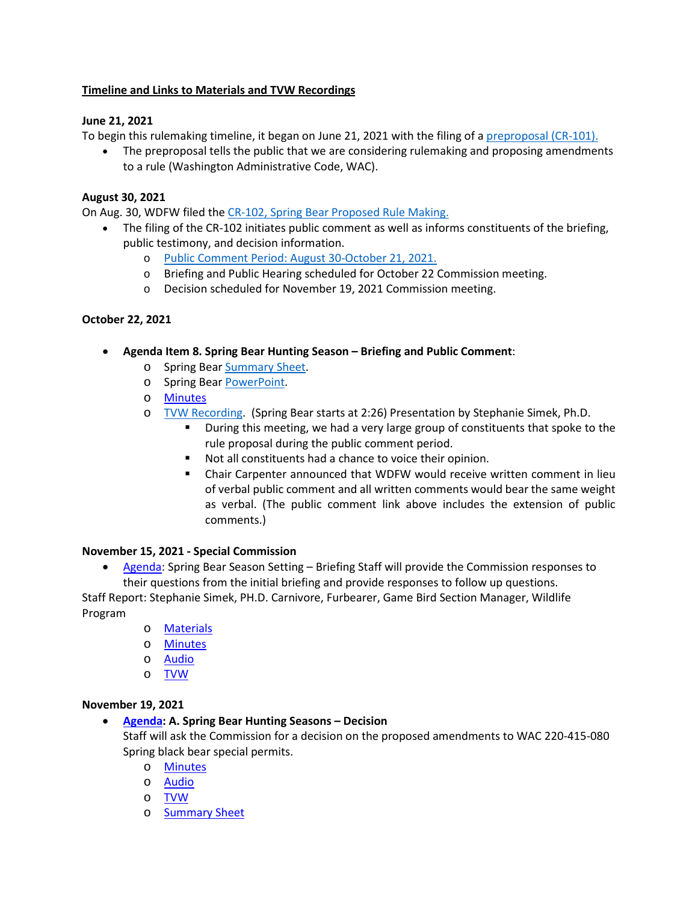# **Timeline and Links to Materials and TVW Recordings**

# **June 21, 2021**

To begin this rulemaking timeline, it began on June 21, 2021 with the filing of a [preproposal \(CR-101\).](https://gcc02.safelinks.protection.outlook.com/?url=https%3A%2F%2Fwdfw.wa.gov%2Fsites%2Fdefault%2Ffiles%2Fabout%2Fregulations%2Ffilings%2F2021%2Fwsr_21-13-118.pdf&data=04%7C01%7CNichole.Kloepfer%40dfw.wa.gov%7C191b4c2f4ffa4a0cb92208da02be4f7b%7C11d0e217264e400a8ba057dcc127d72d%7C0%7C0%7C637825313639309131%7CUnknown%7CTWFpbGZsb3d8eyJWIjoiMC4wLjAwMDAiLCJQIjoiV2luMzIiLCJBTiI6Ik1haWwiLCJXVCI6Mn0%3D%7C3000&sdata=0iQdUhIWoxbu51KqX4Up3KNF4I4dNQySN05ePJTiMEI%3D&reserved=0)

• The preproposal tells the public that we are considering rulemaking and proposing amendments to a rule (Washington Administrative Code, WAC).

### **August 30, 2021**

On Aug. 30, WDFW filed the [CR-102, Spring Bear Proposed Rule Making.](https://gcc02.safelinks.protection.outlook.com/?url=https%3A%2F%2Fwdfw.wa.gov%2Fsites%2Fdefault%2Ffiles%2Fabout%2Fregulations%2Ffilings%2F2021%2Fwsr_21-18-084.pdf&data=04%7C01%7CNichole.Kloepfer%40dfw.wa.gov%7C191b4c2f4ffa4a0cb92208da02be4f7b%7C11d0e217264e400a8ba057dcc127d72d%7C0%7C0%7C637825313639309131%7CUnknown%7CTWFpbGZsb3d8eyJWIjoiMC4wLjAwMDAiLCJQIjoiV2luMzIiLCJBTiI6Ik1haWwiLCJXVCI6Mn0%3D%7C3000&sdata=glfRp9aFpzNR1APL91xJKCxpN2U6xUiuU95lgidrOGk%3D&reserved=0)

- The filing of the CR-102 initiates public comment as well as informs constituents of the briefing, public testimony, and decision information.
	- o [Public Comment Period: August 30-October 21, 2021.](https://gcc02.safelinks.protection.outlook.com/?url=https%3A%2F%2Fwdfw.wa.gov%2Fsites%2Fdefault%2Ffiles%2Fabout%2Fregulations%2Ffilings%2F2021%2Fspring_black_bear_2022_season_emailed_comments_only.xlsx&data=04%7C01%7CNichole.Kloepfer%40dfw.wa.gov%7C191b4c2f4ffa4a0cb92208da02be4f7b%7C11d0e217264e400a8ba057dcc127d72d%7C0%7C0%7C637825313639309131%7CUnknown%7CTWFpbGZsb3d8eyJWIjoiMC4wLjAwMDAiLCJQIjoiV2luMzIiLCJBTiI6Ik1haWwiLCJXVCI6Mn0%3D%7C3000&sdata=WQSHqcvuQzlI9PbDDVTuzvH8HxFF%2B7NtpAkKVT1KS9I%3D&reserved=0)
	- o Briefing and Public Hearing scheduled for October 22 Commission meeting.
	- o Decision scheduled for November 19, 2021 Commission meeting.

# **October 22, 2021**

- **Agenda Item 8. Spring Bear Hunting Season – Briefing and Public Comment**:
	- o Spring Bea[r Summary Sheet.](https://gcc02.safelinks.protection.outlook.com/?url=https%3A%2F%2Fwdfw.wa.gov%2Fsites%2Fdefault%2Ffiles%2F2021-10%2F8_spring_bear_ssv2.pdf&data=04%7C01%7CNichole.Kloepfer%40dfw.wa.gov%7C191b4c2f4ffa4a0cb92208da02be4f7b%7C11d0e217264e400a8ba057dcc127d72d%7C0%7C0%7C637825313639309131%7CUnknown%7CTWFpbGZsb3d8eyJWIjoiMC4wLjAwMDAiLCJQIjoiV2luMzIiLCJBTiI6Ik1haWwiLCJXVCI6Mn0%3D%7C3000&sdata=bid8yCThRDPbSGlEFXPA8G4jqLXBShvg9awx%2B2cv%2Fxs%3D&reserved=0)
	- o Spring Bea[r PowerPoint.](https://gcc02.safelinks.protection.outlook.com/?url=https%3A%2F%2Fwdfw.wa.gov%2Fsites%2Fdefault%2Ffiles%2F2021-10%2F8spring_bearpp.pdf&data=04%7C01%7CNichole.Kloepfer%40dfw.wa.gov%7C191b4c2f4ffa4a0cb92208da02be4f7b%7C11d0e217264e400a8ba057dcc127d72d%7C0%7C0%7C637825313639309131%7CUnknown%7CTWFpbGZsb3d8eyJWIjoiMC4wLjAwMDAiLCJQIjoiV2luMzIiLCJBTiI6Ik1haWwiLCJXVCI6Mn0%3D%7C3000&sdata=Spm5%2B0aA0VIM%2FuJmW%2F5vYTxO1B8ehiONEcAdg54kNJ0%3D&reserved=0)
	- o [Minutes](https://gcc02.safelinks.protection.outlook.com/?url=https%3A%2F%2Fwdfw.wa.gov%2Fsites%2Fdefault%2Ffiles%2F2021-12%2F2021-10-21-22_fwc_approved_minutes.pdf&data=04%7C01%7CNichole.Kloepfer%40dfw.wa.gov%7C191b4c2f4ffa4a0cb92208da02be4f7b%7C11d0e217264e400a8ba057dcc127d72d%7C0%7C0%7C637825313639309131%7CUnknown%7CTWFpbGZsb3d8eyJWIjoiMC4wLjAwMDAiLCJQIjoiV2luMzIiLCJBTiI6Ik1haWwiLCJXVCI6Mn0%3D%7C3000&sdata=p6R5QbzgjE5aus%2BqqYGMs65d%2BbrNgMDgGcbOenL7kro%3D&reserved=0)
	- o [TVW Recording.](https://gcc02.safelinks.protection.outlook.com/?url=https%3A%2F%2Ftvw.org%2Fvideo%2Fwashington-state-fish-wildlife-commission-2021101179%2F%3FeventID%3D2021101179&data=04%7C01%7CNichole.Kloepfer%40dfw.wa.gov%7C191b4c2f4ffa4a0cb92208da02be4f7b%7C11d0e217264e400a8ba057dcc127d72d%7C0%7C0%7C637825313639309131%7CUnknown%7CTWFpbGZsb3d8eyJWIjoiMC4wLjAwMDAiLCJQIjoiV2luMzIiLCJBTiI6Ik1haWwiLCJXVCI6Mn0%3D%7C3000&sdata=yKsRbDSuf5EN3%2BroF4ECdkchSG05ToEmfr5KaSJmhLM%3D&reserved=0) (Spring Bear starts at 2:26) Presentation by Stephanie Simek, Ph.D.
		- During this meeting, we had a very large group of constituents that spoke to the rule proposal during the public comment period.
		- Not all constituents had a chance to voice their opinion.
		- Chair Carpenter announced that WDFW would receive written comment in lieu of verbal public comment and all written comments would bear the same weight as verbal. (The public comment link above includes the extension of public comments.)

#### **November 15, 2021 - Special Commission**

• [Agenda:](https://gcc02.safelinks.protection.outlook.com/?url=https%3A%2F%2Fwdfw.wa.gov%2Fsites%2Fdefault%2Ffiles%2F2021-11%2Fspecial_meeting_notice_november_15_fwc_web_conference.pdf&data=04%7C01%7CNichole.Kloepfer%40dfw.wa.gov%7C191b4c2f4ffa4a0cb92208da02be4f7b%7C11d0e217264e400a8ba057dcc127d72d%7C0%7C0%7C637825313639309131%7CUnknown%7CTWFpbGZsb3d8eyJWIjoiMC4wLjAwMDAiLCJQIjoiV2luMzIiLCJBTiI6Ik1haWwiLCJXVCI6Mn0%3D%7C3000&sdata=8aMGneEdAATJJ5hvFtYcogEusz7KC3T1DDMdycaFTh4%3D&reserved=0) Spring Bear Season Setting – Briefing Staff will provide the Commission responses to their questions from the initial briefing and provide responses to follow up questions.

Staff Report: Stephanie Simek, PH.D. Carnivore, Furbearer, Game Bird Section Manager, Wildlife Program

- o [Materials](https://gcc02.safelinks.protection.outlook.com/?url=https%3A%2F%2Fwdfw.wa.gov%2Fsites%2Fdefault%2Ffiles%2F2021-11%2Ffwc_nov_15_response__commissioner_questionsv2.pdf&data=04%7C01%7CNichole.Kloepfer%40dfw.wa.gov%7C191b4c2f4ffa4a0cb92208da02be4f7b%7C11d0e217264e400a8ba057dcc127d72d%7C0%7C0%7C637825313639309131%7CUnknown%7CTWFpbGZsb3d8eyJWIjoiMC4wLjAwMDAiLCJQIjoiV2luMzIiLCJBTiI6Ik1haWwiLCJXVCI6Mn0%3D%7C3000&sdata=3vMWc%2FAEDdQN0CArF46fEVyrc7u0A14UVs8P%2FdNV8IY%3D&reserved=0)
- o [Minutes](https://gcc02.safelinks.protection.outlook.com/?url=https%3A%2F%2Fwdfw.wa.gov%2Fsites%2Fdefault%2Ffiles%2F2021-12%2F20211115approvedwebconferenceminutes.pdf&data=04%7C01%7CNichole.Kloepfer%40dfw.wa.gov%7C191b4c2f4ffa4a0cb92208da02be4f7b%7C11d0e217264e400a8ba057dcc127d72d%7C0%7C0%7C637825313639309131%7CUnknown%7CTWFpbGZsb3d8eyJWIjoiMC4wLjAwMDAiLCJQIjoiV2luMzIiLCJBTiI6Ik1haWwiLCJXVCI6Mn0%3D%7C3000&sdata=loyIBT7IoVAfSq7wE6lw1YnhvvBalm14YXVBAmW8j40%3D&reserved=0)
- o [Audio](https://us06web.zoom.us/rec/share/_aF5YqrrQIpKYsTrnf687xZR_4DDgm26g_lUfdOQm-nlJpyusjwMZvxjxLOJSdYm.HbZojftBRo5OPdPa)
- o [TVW](https://gcc02.safelinks.protection.outlook.com/?url=https%3A%2F%2Fwww.tvw.org%2Fwatch%2F%3FeventID%3D2021111123&data=04%7C01%7CNichole.Kloepfer%40dfw.wa.gov%7C191b4c2f4ffa4a0cb92208da02be4f7b%7C11d0e217264e400a8ba057dcc127d72d%7C0%7C0%7C637825313639309131%7CUnknown%7CTWFpbGZsb3d8eyJWIjoiMC4wLjAwMDAiLCJQIjoiV2luMzIiLCJBTiI6Ik1haWwiLCJXVCI6Mn0%3D%7C3000&sdata=k7mH2nv%2FaH8IAe13VXwY9GAmLbh4%2F9997vXszozGldA%3D&reserved=0)

#### **November 19, 2021**

#### • **[Agenda:](https://gcc02.safelinks.protection.outlook.com/?url=https%3A%2F%2Fwdfw.wa.gov%2Fabout%2Fcommission%2Fmeetings%2F2021%2F19november2021-fwc-agenda&data=04%7C01%7CNichole.Kloepfer%40dfw.wa.gov%7C191b4c2f4ffa4a0cb92208da02be4f7b%7C11d0e217264e400a8ba057dcc127d72d%7C0%7C0%7C637825313639465353%7CUnknown%7CTWFpbGZsb3d8eyJWIjoiMC4wLjAwMDAiLCJQIjoiV2luMzIiLCJBTiI6Ik1haWwiLCJXVCI6Mn0%3D%7C3000&sdata=d%2B9kagsipyCjvcRr%2B%2BhsInD3gTupF1Ph19jGtBgx7HY%3D&reserved=0) A. Spring Bear Hunting Seasons – Decision**

Staff will ask the Commission for a decision on the proposed amendments to WAC 220-415-080 Spring black bear special permits.

- o [Minutes](https://gcc02.safelinks.protection.outlook.com/?url=https%3A%2F%2Fwdfw.wa.gov%2Fsites%2Fdefault%2Ffiles%2F2021-12%2F20211119approvedwebconferenceminutes.pdf&data=04%7C01%7CNichole.Kloepfer%40dfw.wa.gov%7C191b4c2f4ffa4a0cb92208da02be4f7b%7C11d0e217264e400a8ba057dcc127d72d%7C0%7C0%7C637825313639465353%7CUnknown%7CTWFpbGZsb3d8eyJWIjoiMC4wLjAwMDAiLCJQIjoiV2luMzIiLCJBTiI6Ik1haWwiLCJXVCI6Mn0%3D%7C3000&sdata=8XP2Fu%2BWA%2FSvvgFwP7V7I5rHu%2Bhz%2ByOYBNsm4gA9F5Y%3D&reserved=0)
- o [Audio](https://us06web.zoom.us/rec/share/c2ktI59_47ZvEKb11O8Bkhui0HgeyJPwm8OmQAsKlecWe2rE7oeMTv3PEMzFA3GC.E5MHw-pwW0VGmagj)
- o [TVW](https://gcc02.safelinks.protection.outlook.com/?url=https%3A%2F%2Fwww.tvw.org%2Fwatch%2F%3FeventID%3D2021111141&data=04%7C01%7CNichole.Kloepfer%40dfw.wa.gov%7C191b4c2f4ffa4a0cb92208da02be4f7b%7C11d0e217264e400a8ba057dcc127d72d%7C0%7C0%7C637825313639465353%7CUnknown%7CTWFpbGZsb3d8eyJWIjoiMC4wLjAwMDAiLCJQIjoiV2luMzIiLCJBTiI6Ik1haWwiLCJXVCI6Mn0%3D%7C3000&sdata=XKIbAkOInFX%2FRIiFN%2BL%2FMfYyupn74%2FEIF4ZpJ6bqX7E%3D&reserved=0)
- o [Summary Sheet](https://gcc02.safelinks.protection.outlook.com/?url=https%3A%2F%2Fwdfw.wa.gov%2Fsites%2Fdefault%2Ffiles%2F2021-11%2Fa_s_bear_decision_ss.pdf&data=04%7C01%7CNichole.Kloepfer%40dfw.wa.gov%7C191b4c2f4ffa4a0cb92208da02be4f7b%7C11d0e217264e400a8ba057dcc127d72d%7C0%7C0%7C637825313639465353%7CUnknown%7CTWFpbGZsb3d8eyJWIjoiMC4wLjAwMDAiLCJQIjoiV2luMzIiLCJBTiI6Ik1haWwiLCJXVCI6Mn0%3D%7C3000&sdata=Zply6EDrZcr0WlhAGZRBVFSny%2FcPybdfob2m%2F3nBNJ0%3D&reserved=0)